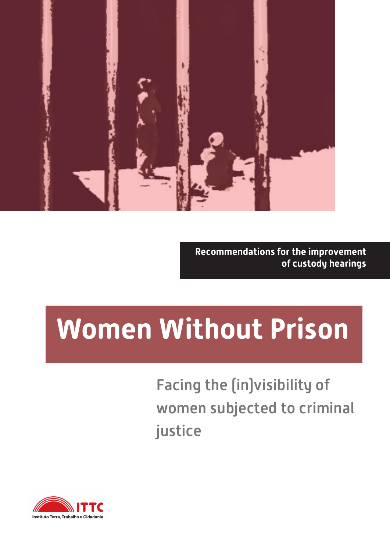

**Recommendations for the improvement of custody hearings**

# **Women Without Prison**

Facing the (in)visibility of women subjected to criminal justice

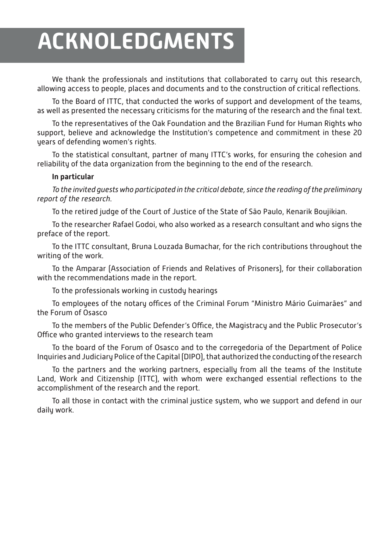# **ACKNOLEDGMENTS**

We thank the professionals and institutions that collaborated to carry out this research, allowing access to people, places and documents and to the construction of critical reflections.

To the Board of ITTC, that conducted the works of support and development of the teams, as well as presented the necessary criticisms for the maturing of the research and the final text.

To the representatives of the Oak Foundation and the Brazilian Fund for Human Rights who support, believe and acknowledge the Institution's competence and commitment in these 20 years of defending women's rights.

To the statistical consultant, partner of many ITTC's works, for ensuring the cohesion and reliability of the data organization from the beginning to the end of the research.

#### **In particular**

*To the invited guests who participated in the critical debate, since the reading of the preliminary report of the research.*

To the retired judge of the Court of Justice of the State of São Paulo, Kenarik Boujikian.

To the researcher Rafael Godoi, who also worked as a research consultant and who signs the preface of the report.

To the ITTC consultant, Bruna Louzada Bumachar, for the rich contributions throughout the writing of the work.

To the Amparar (Association of Friends and Relatives of Prisoners), for their collaboration with the recommendations made in the report.

To the professionals working in custody hearings

To employees of the notary offices of the Criminal Forum "Ministro Mário Guimarães" and the Forum of Osasco

To the members of the Public Defender's Office, the Magistracy and the Public Prosecutor's Office who granted interviews to the research team

To the board of the Forum of Osasco and to the corregedoria of the Department of Police Inquiries and Judiciary Police of the Capital (DIPO), that authorized the conducting of the research

To the partners and the working partners, especially from all the teams of the Institute Land, Work and Citizenship (ITTC), with whom were exchanged essential reflections to the accomplishment of the research and the report.

To all those in contact with the criminal justice system, who we support and defend in our daily work.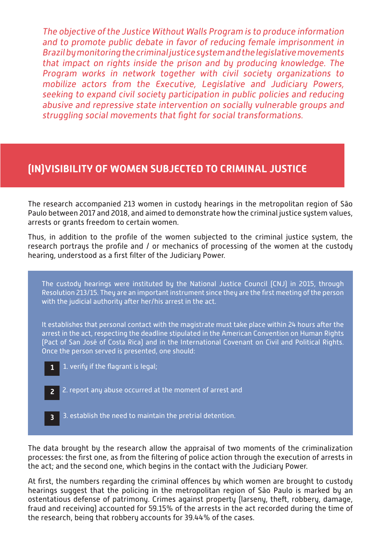The objective of the Justice Without Walls Program is to produce information and to promote public debate in favor of reducing female imprisonment in Brazil by monitoring the criminal justice system and the legislative movements that impact on rights inside the prison and by producing knowledge. The Program works in network together with civil society organizations to mobilize actors from the Executive, Legislative and Judiciary Powers, seeking to expand civil society participation in public policies and reducing abusive and repressive state intervention on socially vulnerable groups and struggling social movements that fight for social transformations.

## **(IN)VISIBILITY OF WOMEN SUBJECTED TO CRIMINAL JUSTICE**

The research accompanied 213 women in custody hearings in the metropolitan region of São Paulo between 2017 and 2018, and aimed to demonstrate how the criminal justice system values, arrests or grants freedom to certain women.

Thus, in addition to the profile of the women subjected to the criminal justice system, the research portrays the profile and / or mechanics of processing of the women at the custody hearing, understood as a first filter of the Judiciary Power.



The data brought by the research allow the appraisal of two moments of the criminalization processes: the first one, as from the filtering of police action through the execution of arrests in the act; and the second one, which begins in the contact with the Judiciary Power.

At first, the numbers regarding the criminal offences by which women are brought to custody hearings suggest that the policing in the metropolitan region of São Paulo is marked by an ostentatious defense of patrimony. Crimes against property (larseny, theft, robbery, damage, fraud and receiving) accounted for 59.15% of the arrests in the act recorded during the time of the research, being that robbery accounts for 39.44% of the cases.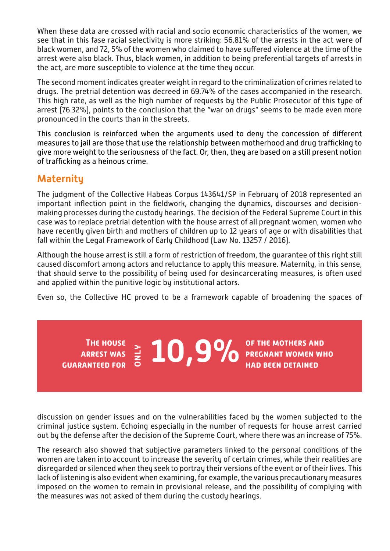When these data are crossed with racial and socio economic characteristics of the women, we see that in this fase racial selectivity is more striking: 56.81% of the arrests in the act were of black women, and 72, 5% of the women who claimed to have suffered violence at the time of the arrest were also black. Thus, black women, in addition to being preferential targets of arrests in the act, are more susceptible to violence at the time they occur.

The second moment indicates greater weight in regard to the criminalization of crimes related to drugs. The pretrial detention was decreed in 69.74% of the cases accompanied in the research. This high rate, as well as the high number of requests by the Public Prosecutor of this type of arrest (76.32%), points to the conclusion that the "war on drugs" seems to be made even more pronounced in the courts than in the streets.

This conclusion is reinforced when the arguments used to deny the concession of different measures to jail are those that use the relationship between motherhood and drug trafficking to give more weight to the seriousness of the fact. Or, then, they are based on a still present notion of trafficking as a heinous crime.

## **Maternity**

**The house arrest was** 

**guaranteed for**

The judgment of the Collective Habeas Corpus 143641/SP in February of 2018 represented an important inflection point in the fieldwork, changing the dynamics, discourses and decisionmaking processes during the custody hearings. The decision of the Federal Supreme Court in this case was to replace pretrial detention with the house arrest of all pregnant women, women who have recently given birth and mothers of children up to 12 years of age or with disabilities that fall within the Legal Framework of Early Childhood (Law No. 13257 / 2016).

Although the house arrest is still a form of restriction of freedom, the guarantee of this right still caused discomfort among actors and reluctance to apply this measure. Maternity, in this sense, that should serve to the possibility of being used for desincarcerating measures, is often used and applied within the punitive logic by institutional actors.

Even so, the Collective HC proved to be a framework capable of broadening the spaces of

**10,9%** OF THE MOTHERS AND  $\frac{2}{5}$   $\frac{1}{5}$   $\frac{1}{5}$   $\frac{9}{10}$   $\frac{9}{100}$  PREGNANT WOMEN WHO

**had been detained**

discussion on gender issues and on the vulnerabilities faced by the women subjected to the criminal justice system. Echoing especially in the number of requests for house arrest carried out by the defense after the decision of the Supreme Court, where there was an increase of 75%.

The research also showed that subjective parameters linked to the personal conditions of the women are taken into account to increase the severity of certain crimes, while their realities are disregarded or silenced when they seek to portray their versions of the event or of their lives. This lack of listening is also evident when examining, for example, the various precautionary measures imposed on the women to remain in provisional release, and the possibility of complying with the measures was not asked of them during the custody hearings.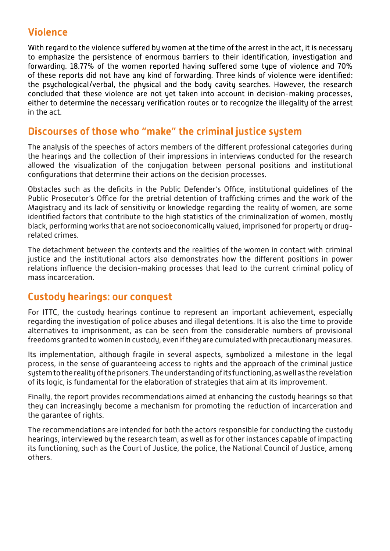# **Violence**

With regard to the violence suffered by women at the time of the arrest in the act, it is necessary to emphasize the persistence of enormous barriers to their identification, investigation and forwarding. 18.77% of the women reported having suffered some type of violence and 70% of these reports did not have any kind of forwarding. Three kinds of violence were identified: the psychological/verbal, the physical and the body cavity searches. However, the research concluded that these violence are not yet taken into account in decision-making processes, either to determine the necessary verification routes or to recognize the illegality of the arrest in the act.

# **Discourses of those who "make" the criminal justice system**

The analysis of the speeches of actors members of the different professional categories during the hearings and the collection of their impressions in interviews conducted for the research allowed the visualization of the conjugation between personal positions and institutional configurations that determine their actions on the decision processes.

Obstacles such as the deficits in the Public Defender's Office, institutional guidelines of the Public Prosecutor's Office for the pretrial detention of trafficking crimes and the work of the Magistracy and its lack of sensitivity or knowledge regarding the reality of women, are some identified factors that contribute to the high statistics of the criminalization of women, mostly black, performing works that are not socioeconomically valued, imprisoned for property or drugrelated crimes.

The detachment between the contexts and the realities of the women in contact with criminal justice and the institutional actors also demonstrates how the different positions in power relations influence the decision-making processes that lead to the current criminal policy of mass incarceration.

## **Custody hearings: our conquest**

For ITTC, the custody hearings continue to represent an important achievement, especially regarding the investigation of police abuses and illegal detentions. It is also the time to provide alternatives to imprisonment, as can be seen from the considerable numbers of provisional freedoms granted to women in custody, even if they are cumulated with precautionary measures.

Its implementation, although fragile in several aspects, symbolized a milestone in the legal process, in the sense of guaranteeing access to rights and the approach of the criminal justice system to the reality of the prisoners. The understanding of its functioning, as well as the revelation of its logic, is fundamental for the elaboration of strategies that aim at its improvement.

Finally, the report provides recommendations aimed at enhancing the custody hearings so that they can increasingly become a mechanism for promoting the reduction of incarceration and the garantee of rights.

The recommendations are intended for both the actors responsible for conducting the custody hearings, interviewed by the research team, as well as for other instances capable of impacting its functioning, such as the Court of Justice, the police, the National Council of Justice, among others. **SITUAÇÕES E RECOMENDAÇÕES E RECOMENDAÇÕES E RECOMENDAÇÕES E RECOMENDAÇÕES E RECOMENDAÇÕES E RECOMENDAÇÕES**<br>E RECOMENDAÇÕES E RECOMENDAÇÕES E RECOMENDAÇÕES E RECOMENDADES E RECOMENDADES E RECOMENDADES E RECOMENDADE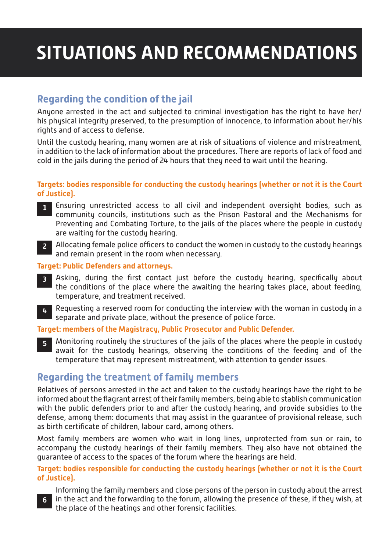# **SITUATIONS AND RECOMMENDATIONS**

# **Regarding the condition of the jail**

Anyone arrested in the act and subjected to criminal investigation has the right to have her/ his physical integrity preserved, to the presumption of innocence, to information about her/his rights and of access to defense.

Until the custody hearing, many women are at risk of situations of violence and mistreatment, in addition to the lack of information about the procedures. There are reports of lack of food and cold in the jails during the period of 24 hours that they need to wait until the hearing.

#### **Targets: bodies responsible for conducting the custody hearings (whether or not it is the Court of Justice).**

- Ensuring unrestricted access to all civil and independent oversight bodies, such as **1** community councils, institutions such as the Prison Pastoral and the Mechanisms for Preventing and Combating Torture, to the jails of the places where the people in custody are waiting for the custody hearing.
- Allocating female police officers to conduct the women in custody to the custody hearings **2** and remain present in the room when necessary.

#### **Target: Public Defenders and attorneys.**

- Asking, during the first contact just before the custody hearing, specifically about **3** the conditions of the place where the awaiting the hearing takes place, about feeding, temperature, and treatment received.
- Requesting a reserved room for conducting the interview with the woman in custody in a separate and private place, without the presence of police force. **4**

#### **Target: members of the Magistracy, Public Prosecutor and Public Defender.**

Monitoring routinely the structures of the jails of the places where the people in custody await for the custody hearings, observing the conditions of the feeding and of the temperature that may represent mistreatment, with attention to gender issues. **5**

## **Regarding the treatment of family members**

Relatives of persons arrested in the act and taken to the custody hearings have the right to be informed about the flagrant arrest of their family members, being able to stablish communication with the public defenders prior to and after the custody hearing, and provide subsidies to the defense, among them: documents that may assist in the guarantee of provisional release, such as birth certificate of children, labour card, among others.

Most family members are women who wait in long lines, unprotected from sun or rain, to accompany the custody hearings of their family members. They also have not obtained the guarantee of access to the spaces of the forum where the hearings are held.

#### **Target: bodies responsible for conducting the custody hearings (whether or not it is the Court of Justice).**

Informing the family members and close persons of the person in custody about the arrest in the act and the forwarding to the forum, allowing the presence of these, if they wish, at the place of the heatings and other forensic facilities.

**6**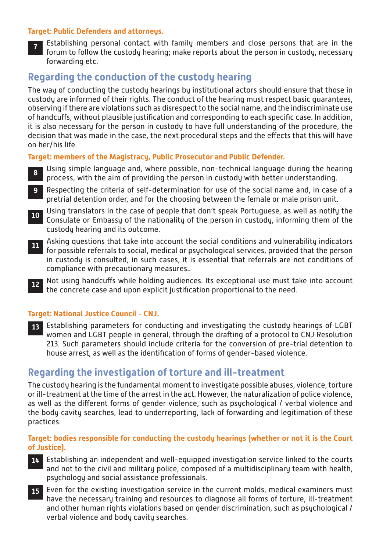#### **Target: Public Defenders and attorneys.**

Establishing personal contact with family members and close persons that are in the forum to follow the custody hearing; make reports about the person in custody, necessary forwarding etc. **7**

# **Regarding the conduction of the custody hearing**

The way of conducting the custody hearings by institutional actors should ensure that those in custody are informed of their rights. The conduct of the hearing must respect basic guarantees, observing if there are violations such as disrespect to the social name, and the indiscriminate use of handcuffs, without plausible justification and corresponding to each specific case. In addition, it is also necessary for the person in custody to have full understanding of the procedure, the decision that was made in the case, the next procedural steps and the effects that this will have on her/his life.

**Target: members of the Magistracy, Public Prosecutor and Public Defender.**

- Using simple language and, where possible, non-technical language during the hearing process, with the aim of providing the person in custody with better understanding. **8**
- Respecting the criteria of self-determination for use of the social name and, in case of a pretrial detention order, and for the choosing between the female or male prison unit. **9**
- Using translators in the case of people that don't speak Portuguese, as well as notify the **10** Consulate or Embassy of the nationality of the person in custody, informing them of the custody hearing and its outcome.
- Asking questions that take into account the social conditions and vulnerability indicators for possible referrals to social, medical or psychological services, provided that the person in custody is consulted; in such cases, it is essential that referrals are not conditions of compliance with precautionary measures.. **11**
- Not using handcuffs while holding audiences. Its exceptional use must take into account the concrete case and upon explicit justification proportional to the need. **12**

#### **Target: National Justice Council - CNJ.**

Establishing parameters for conducting and investigating the custody hearings of LGBT **13** women and LGBT people in general, through the drafting of a protocol to CNJ Resolution 213. Such parameters should include criteria for the conversion of pre-trial detention to house arrest, as well as the identification of forms of gender-based violence.

### **Regarding the investigation of torture and ill-treatment**

The custody hearing is the fundamental moment to investigate possible abuses, violence, torture or ill-treatment at the time of the arrest in the act. However, the naturalization of police violence, as well as the different forms of gender violence, such as psychological / verbal violence and the body cavity searches, lead to underreporting, lack of forwarding and legitimation of these practices.

#### **Target: bodies responsible for conducting the custody hearings (whether or not it is the Court of Justice).**

- Establishing an independent and well-equipped investigation service linked to the courts and not to the civil and military police, composed of a multidisciplinary team with health, psychology and social assistance professionals. **14**
- Even for the existing investigation service in the current molds, medical examiners must **15** have the necessary training and resources to diagnose all forms of torture, ill-treatment and other human rights violations based on gender discrimination, such as psychological / verbal violence and body cavity searches.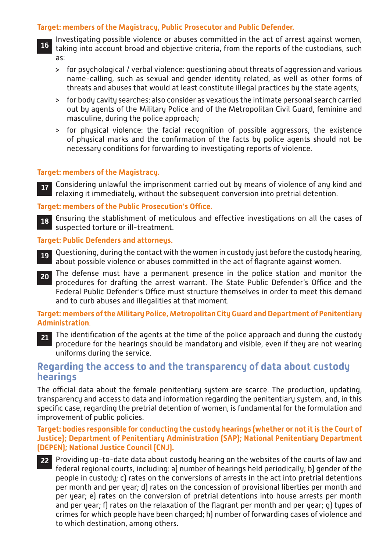#### **Target: members of the Magistracy, Public Prosecutor and Public Defender.**

- Investigating possible violence or abuses committed in the act of arrest against women, taking into account broad and objective criteria, from the reports of the custodians, such as: **16**
	- > for psychological / verbal violence: questioning about threats of aggression and various name-calling, such as sexual and gender identity related, as well as other forms of threats and abuses that would at least constitute illegal practices by the state agents;
	- > for body cavity searches: also consider as vexatious the intimate personal search carried out by agents of the Military Police and of the Metropolitan Civil Guard, feminine and masculine, during the police approach;
	- > for physical violence: the facial recognition of possible aggressors, the existence of physical marks and the confirmation of the facts by police agents should not be necessary conditions for forwarding to investigating reports of violence.

#### **Target: members of the Magistracy.**

Considering unlawful the imprisonment carried out by means of violence of any kind and **17** relaxing it immediately, without the subsequent conversion into pretrial detention.

#### **Target: members of the Public Prosecution's Office.**

Ensuring the stablishment of meticulous and effective investigations on all the cases of **18** suspected torture or ill-treatment.

#### **Target: Public Defenders and attorneys.**

- Questioning, during the contact with the women in custody just before the custody hearing, **19** about possible violence or abuses committed in the act of flagrante against women.
- The defense must have a permanent presence in the police station and monitor the **20** procedures for drafting the arrest warrant. The State Public Defender's Office and the Federal Public Defender's Office must structure themselves in order to meet this demand and to curb abuses and illegalities at that moment.

#### **Target: members of the Military Police, Metropolitan City Guard and Department of Penitentiary Administration**.

The identification of the agents at the time of the police approach and during the custody procedure for the hearings should be mandatory and visible, even if they are not wearing uniforms during the service. **21**

### **Regarding the access to and the transparency of data about custody hearings**

The official data about the female penitentiary system are scarce. The production, updating, transparency and access to data and information regarding the penitentiary system, and, in this specific case, regarding the pretrial detention of women, is fundamental for the formulation and improvement of public policies.

**Target: bodies responsible for conducting the custody hearings (whether or not it is the Court of Justice); Department of Penitentiary Administration (SAP); National Penitentiary Department (DEPEN); National Justice Council (CNJ).**

Providing up-to-date data about custody hearing on the websites of the courts of law and **22** federal regional courts, including: a) number of hearings held periodically; b) gender of the people in custody; c) rates on the conversions of arrests in the act into pretrial detentions per month and per year; d) rates on the concession of provisional liberties per month and per year; e) rates on the conversion of pretrial detentions into house arrests per month and per year; f) rates on the relaxation of the flagrant per month and per year; g) types of crimes for which people have been charged; h) number of forwarding cases of violence and to which destination, among others.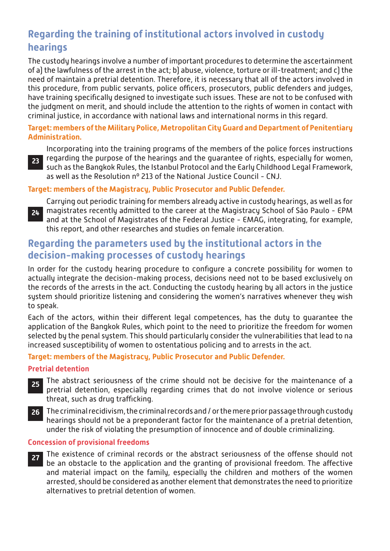# **Regarding the training of institutional actors involved in custody hearings**

The custody hearings involve a number of important procedures to determine the ascertainment of a) the lawfulness of the arrest in the act; b) abuse, violence, torture or ill-treatment; and c) the need of maintain a pretrial detention. Therefore, it is necessary that all of the actors involved in this procedure, from public servants, police officers, prosecutors, public defenders and judges, have training specifically designed to investigate such issues. These are not to be confused with the judgment on merit, and should include the attention to the rights of women in contact with criminal justice, in accordance with national laws and international norms in this regard.

#### **Target: members of the Military Police, Metropolitan City Guard and Department of Penitentiary Administration.**

Incorporating into the training programs of the members of the police forces instructions regarding the purpose of the hearings and the guarantee of rights, especially for women, such as the Bangkok Rules, the Istanbul Protocol and the Early Childhood Legal Framework, as well as the Resolution nº 213 of the National Justice Council - CNJ.

#### **Target: members of the Magistracy, Public Prosecutor and Public Defender.**



**23**

Carrying out periodic training for members already active in custody hearings, as well as for magistrates recently admitted to the career at the Magistracy School of São Paulo - EPM and at the School of Magistrates of the Federal Justice - EMAG, integrating, for example, this report, and other researches and studies on female incarceration.

# **Regarding the parameters used by the institutional actors in the decision-making processes of custody hearings**

In order for the custody hearing procedure to configure a concrete possibility for women to actually integrate the decision-making process, decisions need not to be based exclusively on the records of the arrests in the act. Conducting the custody hearing by all actors in the justice system should prioritize listening and considering the women's narratives whenever they wish to speak.

Each of the actors, within their different legal competences, has the duty to guarantee the application of the Bangkok Rules, which point to the need to prioritize the freedom for women selected by the penal system. This should particularly consider the vulnerabilities that lead to na increased susceptibility of women to ostentatious policing and to arrests in the act.

#### **Target: members of the Magistracy, Public Prosecutor and Public Defender.**

#### **Pretrial detention**

- The abstract seriousness of the crime should not be decisive for the maintenance of a pretrial detention, especially regarding crimes that do not involve violence or serious threat, such as drug trafficking. **25**
- The criminal recidivism, the criminal records and / or the mere prior passage through custody **26** hearings should not be a preponderant factor for the maintenance of a pretrial detention, under the risk of violating the presumption of innocence and of double criminalizing.

#### **Concession of provisional freedoms**

The existence of criminal records or the abstract seriousness of the offense should not be an obstacle to the application and the granting of provisional freedom. The affective and material impact on the family, especially the children and mothers of the women arrested, should be considered as another element that demonstrates the need to prioritize alternatives to pretrial detention of women. **27**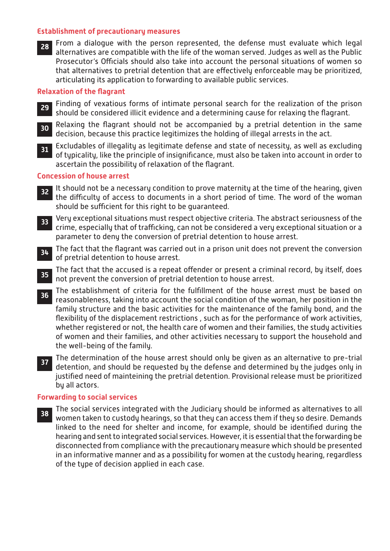#### **Establishment of precautionary measures**

From a dialogue with the person represented, the defense must evaluate which legal **28**alternatives are compatible with the life of the woman served. Judges as well as the Public Prosecutor's Officials should also take into account the personal situations of women so that alternatives to pretrial detention that are effectively enforceable may be prioritized, articulating its application to forwarding to available public services.

#### **Relaxation of the flagrant**

- Finding of vexatious forms of intimate personal search for the realization of the prison should be considered illicit evidence and a determining cause for relaxing the flagrant. **29**
- Relaxing the flagrant should not be accompanied by a pretrial detention in the same **30** decision, because this practice legitimizes the holding of illegal arrests in the act.
- Excludables of illegality as legitimate defense and state of necessity, as well as excluding **31** of typicality, like the principle of insignificance, must also be taken into account in order to ascertain the possibility of relaxation of the flagrant.

#### **Concession of house arrest**

- It should not be a necessary condition to prove maternity at the time of the hearing, given the difficulty of access to documents in a short period of time. The word of the woman should be sufficient for this right to be guaranteed. **32**
- Very exceptional situations must respect objective criteria. The abstract seriousness of the crime, especially that of trafficking, can not be considered a very exceptional situation or a parameter to deny the conversion of pretrial detention to house arrest. **33**
- The fact that the flagrant was carried out in a prison unit does not prevent the conversion of pretrial detention to house arrest. **34**
- The fact that the accused is a repeat offender or present a criminal record, by itself, does not prevent the conversion of pretrial detention to house arrest. **35**
- The establishment of criteria for the fulfillment of the house arrest must be based on reasonableness, taking into account the social condition of the woman, her position in the family structure and the basic activities for the maintenance of the family bond, and the flexibility of the displacement restrictions , such as for the performance of work activities, whether registered or not, the health care of women and their families, the study activities of women and their families, and other activities necessary to support the household and the well-being of the family. **36**
- **The determination of the house arrest should only be given as an alternative to pre-trial determination and chould be requested by the defense and determined by the judges only in** detention, and should be requested by the defense and determined by the judges only in justified need of mainteining the pretrial detention. Provisional release must be prioritized by all actors.

#### **Forwarding to social services**

The social services integrated with the Judiciary should be informed as alternatives to all women taken to custody hearings, so that they can access them if they so desire. Demands linked to the need for shelter and income, for example, should be identified during the hearing and sent to integrated social services. However, it is essential that the forwarding be disconnected from compliance with the precautionary measure which should be presented in an informative manner and as a possibility for women at the custody hearing, regardless of the type of decision applied in each case. **38**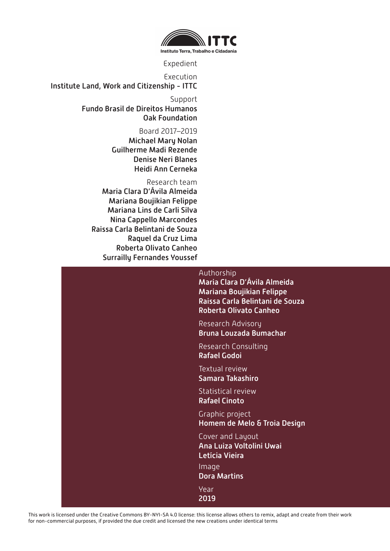

Expedient

Execution Institute Land, Work and Citizenship - ITTC

> Support Fundo Brasil de Direitos Humanos Oak Foundation

> > Board 2017–2019 Michael Mary Nolan Guilherme Madi Rezende Denise Neri Blanes Heidi Ann Cerneka

Research team Maria Clara D'Ávila Almeida Mariana Boujikian Felippe Mariana Lins de Carli Silva Nina Cappello Marcondes Raissa Carla Belintani de Souza Raquel da Cruz Lima Roberta Olivato Canheo Surrailly Fernandes Youssef

### Authorship Maria Clara D'Ávila Almeida Mariana Boujikian Felippe Raissa Carla Belintani de Souza Roberta Olivato Canheo Research Advisory Bruna Louzada Bumachar Research Consulting Rafael Godoi Textual review Samara Takashiro Statistical review Rafael Cinoto Graphic project Homem de Melo & Troia Design Cover and Layout Ana Luiza Voltolini Uwai Letícia Vieira Image Dora Martins Year 2019

This work is licensed under the Creative Commons BY-NYI-SA 4.0 license: this license allows others to remix, adapt and create from their work for non-commercial purposes, if provided the due credit and licensed the new creations under identical terms